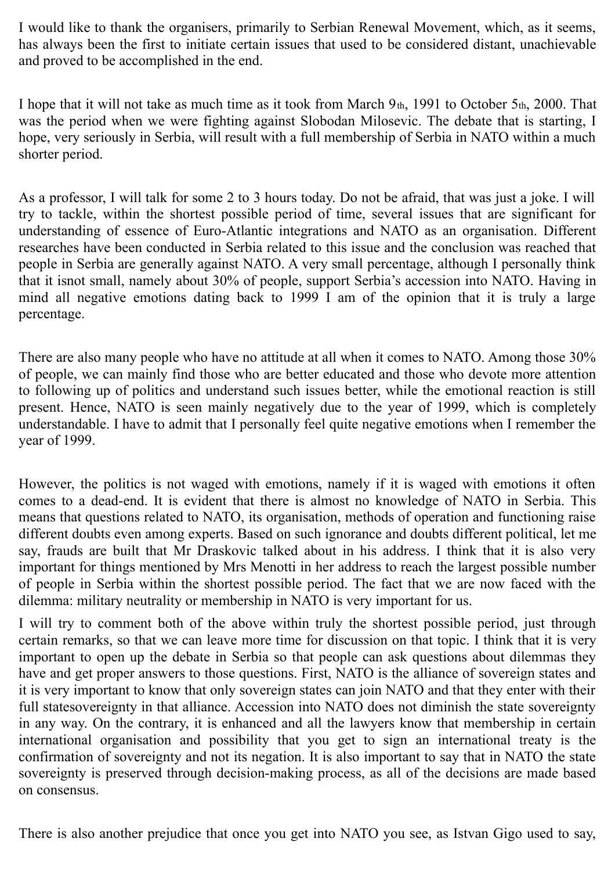I would like to thank the organisers, primarily to Serbian Renewal Movement, which, as it seems, has always been the first to initiate certain issues that used to be considered distant, unachievable and proved to be accomplished in the end.

I hope that it will not take as much time as it took from March 9th, 1991 to October 5th, 2000. That was the period when we were fighting against Slobodan Milosevic. The debate that is starting, I hope, very seriously in Serbia, will result with a full membership of Serbia in NATO within a much shorter period.

As a professor, I will talk for some 2 to 3 hours today. Do not be afraid, that was just a joke. I will try to tackle, within the shortest possible period of time, several issues that are significant for understanding of essence of Euro-Atlantic integrations and NATO as an organisation. Different researches have been conducted in Serbia related to this issue and the conclusion was reached that people in Serbia are generally against NATO. A very small percentage, although I personally think that it isnot small, namely about 30% of people, support Serbia's accession into NATO. Having in mind all negative emotions dating back to 1999 I am of the opinion that it is truly a large percentage.

There are also many people who have no attitude at all when it comes to NATO. Among those 30% of people, we can mainly find those who are better educated and those who devote more attention to following up of politics and understand such issues better, while the emotional reaction is still present. Hence, NATO is seen mainly negatively due to the year of 1999, which is completely understandable. I have to admit that I personally feel quite negative emotions when I remember the year of 1999.

However, the politics is not waged with emotions, namely if it is waged with emotions it often comes to a dead-end. It is evident that there is almost no knowledge of NATO in Serbia. This means that questions related to NATO, its organisation, methods of operation and functioning raise different doubts even among experts. Based on such ignorance and doubts different political, let me say, frauds are built that Mr Draskovic talked about in his address. I think that it is also very important for things mentioned by Mrs Menotti in her address to reach the largest possible number of people in Serbia within the shortest possible period. The fact that we are now faced with the dilemma: military neutrality or membership in NATO is very important for us.

I will try to comment both of the above within truly the shortest possible period, just through certain remarks, so that we can leave more time for discussion on that topic. I think that it is very important to open up the debate in Serbia so that people can ask questions about dilemmas they have and get proper answers to those questions. First, NATO is the alliance of sovereign states and it is very important to know that only sovereign states can join NATO and that they enter with their full statesovereignty in that alliance. Accession into NATO does not diminish the state sovereignty in any way. On the contrary, it is enhanced and all the lawyers know that membership in certain international organisation and possibility that you get to sign an international treaty is the confirmation of sovereignty and not its negation. It is also important to say that in NATO the state sovereignty is preserved through decision-making process, as all of the decisions are made based on consensus.

There is also another prejudice that once you get into NATO you see, as Istvan Gigo used to say,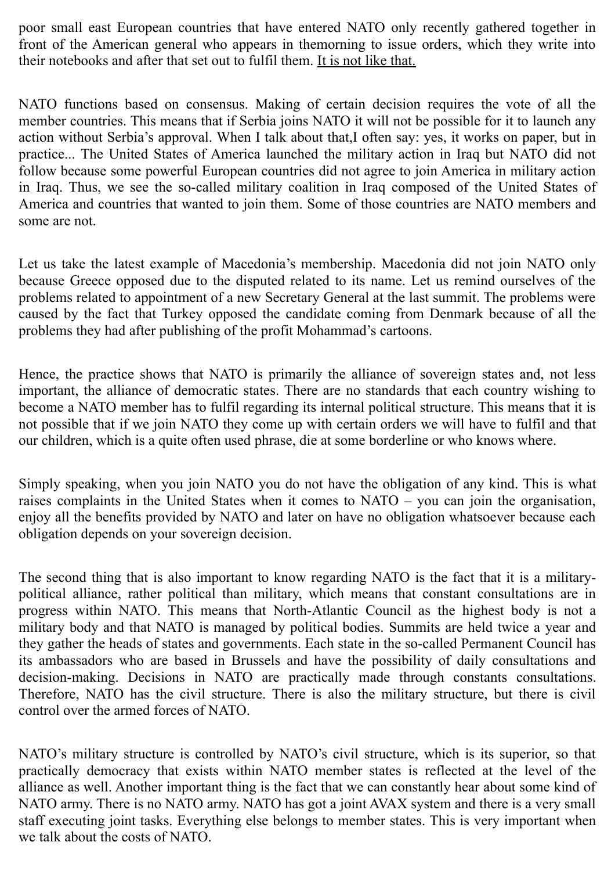poor small east European countries that have entered NATO only recently gathered together in front of the American general who appears in themorning to issue orders, which they write into their notebooks and after that set out to fulfil them. It is not like that.

NATO functions based on consensus. Making of certain decision requires the vote of all the member countries. This means that if Serbia joins NATO it will not be possible for it to launch any action without Serbia's approval. When I talk about that,I often say: yes, it works on paper, but in practice... The United States of America launched the military action in Iraq but NATO did not follow because some powerful European countries did not agree to join America in military action in Iraq. Thus, we see the so-called military coalition in Iraq composed of the United States of America and countries that wanted to join them. Some of those countries are NATO members and some are not.

Let us take the latest example of Macedonia's membership. Macedonia did not join NATO only because Greece opposed due to the disputed related to its name. Let us remind ourselves of the problems related to appointment of a new Secretary General at the last summit. The problems were caused by the fact that Turkey opposed the candidate coming from Denmark because of all the problems they had after publishing of the profit Mohammad's cartoons.

Hence, the practice shows that NATO is primarily the alliance of sovereign states and, not less important, the alliance of democratic states. There are no standards that each country wishing to become a NATO member has to fulfil regarding its internal political structure. This means that it is not possible that if we join NATO they come up with certain orders we will have to fulfil and that our children, which is a quite often used phrase, die at some borderline or who knows where.

Simply speaking, when you join NATO you do not have the obligation of any kind. This is what raises complaints in the United States when it comes to NATO – you can join the organisation, enjoy all the benefits provided by NATO and later on have no obligation whatsoever because each obligation depends on your sovereign decision.

The second thing that is also important to know regarding NATO is the fact that it is a militarypolitical alliance, rather political than military, which means that constant consultations are in progress within NATO. This means that North-Atlantic Council as the highest body is not a military body and that NATO is managed by political bodies. Summits are held twice a year and they gather the heads of states and governments. Each state in the so-called Permanent Council has its ambassadors who are based in Brussels and have the possibility of daily consultations and decision-making. Decisions in NATO are practically made through constants consultations. Therefore, NATO has the civil structure. There is also the military structure, but there is civil control over the armed forces of NATO.

NATO's military structure is controlled by NATO's civil structure, which is its superior, so that practically democracy that exists within NATO member states is reflected at the level of the alliance as well. Another important thing is the fact that we can constantly hear about some kind of NATO army. There is no NATO army. NATO has got a joint AVAX system and there is a very small staff executing joint tasks. Everything else belongs to member states. This is very important when we talk about the costs of NATO.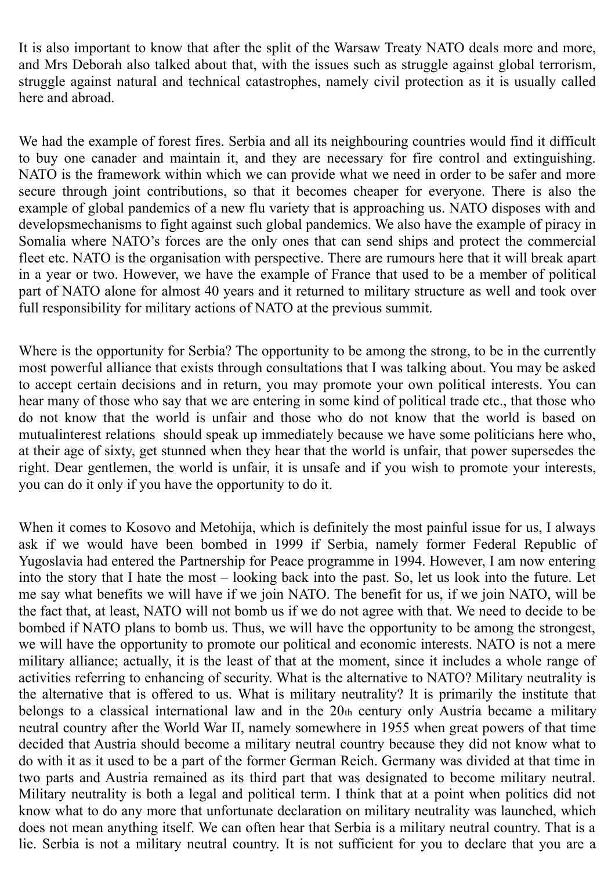It is also important to know that after the split of the Warsaw Treaty NATO deals more and more, and Mrs Deborah also talked about that, with the issues such as struggle against global terrorism, struggle against natural and technical catastrophes, namely civil protection as it is usually called here and abroad.

We had the example of forest fires. Serbia and all its neighbouring countries would find it difficult to buy one canader and maintain it, and they are necessary for fire control and extinguishing. NATO is the framework within which we can provide what we need in order to be safer and more secure through joint contributions, so that it becomes cheaper for everyone. There is also the example of global pandemics of a new flu variety that is approaching us. NATO disposes with and developsmechanisms to fight against such global pandemics. We also have the example of piracy in Somalia where NATO's forces are the only ones that can send ships and protect the commercial fleet etc. NATO is the organisation with perspective. There are rumours here that it will break apart in a year or two. However, we have the example of France that used to be a member of political part of NATO alone for almost 40 years and it returned to military structure as well and took over full responsibility for military actions of NATO at the previous summit.

Where is the opportunity for Serbia? The opportunity to be among the strong, to be in the currently most powerful alliance that exists through consultations that I was talking about. You may be asked to accept certain decisions and in return, you may promote your own political interests. You can hear many of those who say that we are entering in some kind of political trade etc., that those who do not know that the world is unfair and those who do not know that the world is based on mutualinterest relations should speak up immediately because we have some politicians here who, at their age of sixty, get stunned when they hear that the world is unfair, that power supersedes the right. Dear gentlemen, the world is unfair, it is unsafe and if you wish to promote your interests, you can do it only if you have the opportunity to do it.

When it comes to Kosovo and Metohija, which is definitely the most painful issue for us, I always ask if we would have been bombed in 1999 if Serbia, namely former Federal Republic of Yugoslavia had entered the Partnership for Peace programme in 1994. However, I am now entering into the story that I hate the most – looking back into the past. So, let us look into the future. Let me say what benefits we will have if we join NATO. The benefit for us, if we join NATO, will be the fact that, at least, NATO will not bomb us if we do not agree with that. We need to decide to be bombed if NATO plans to bomb us. Thus, we will have the opportunity to be among the strongest, we will have the opportunity to promote our political and economic interests. NATO is not a mere military alliance; actually, it is the least of that at the moment, since it includes a whole range of activities referring to enhancing of security. What is the alternative to NATO? Military neutrality is the alternative that is offered to us. What is military neutrality? It is primarily the institute that belongs to a classical international law and in the 20th century only Austria became a military neutral country after the World War II, namely somewhere in 1955 when great powers of that time decided that Austria should become a military neutral country because they did not know what to do with it as it used to be a part of the former German Reich. Germany was divided at that time in two parts and Austria remained as its third part that was designated to become military neutral. Military neutrality is both a legal and political term. I think that at a point when politics did not know what to do any more that unfortunate declaration on military neutrality was launched, which does not mean anything itself. We can often hear that Serbia is a military neutral country. That is a lie. Serbia is not a military neutral country. It is not sufficient for you to declare that you are a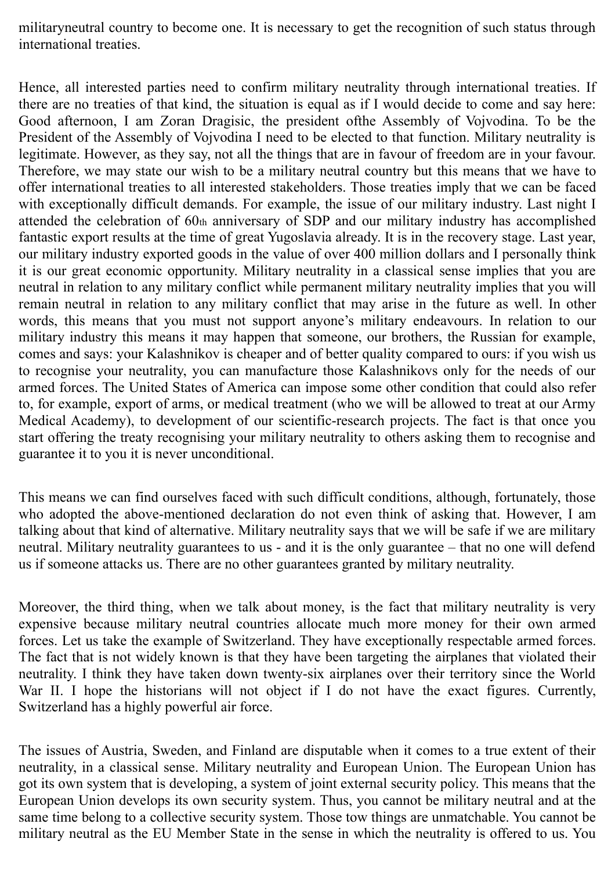militaryneutral country to become one. It is necessary to get the recognition of such status through international treaties.

Hence, all interested parties need to confirm military neutrality through international treaties. If there are no treaties of that kind, the situation is equal as if I would decide to come and say here: Good afternoon, I am Zoran Dragisic, the president ofthe Assembly of Vojvodina. To be the President of the Assembly of Vojvodina I need to be elected to that function. Military neutrality is legitimate. However, as they say, not all the things that are in favour of freedom are in your favour. Therefore, we may state our wish to be a military neutral country but this means that we have to offer international treaties to all interested stakeholders. Those treaties imply that we can be faced with exceptionally difficult demands. For example, the issue of our military industry. Last night I attended the celebration of 60th anniversary of SDP and our military industry has accomplished fantastic export results at the time of great Yugoslavia already. It is in the recovery stage. Last year, our military industry exported goods in the value of over 400 million dollars and I personally think it is our great economic opportunity. Military neutrality in a classical sense implies that you are neutral in relation to any military conflict while permanent military neutrality implies that you will remain neutral in relation to any military conflict that may arise in the future as well. In other words, this means that you must not support anyone's military endeavours. In relation to our military industry this means it may happen that someone, our brothers, the Russian for example, comes and says: your Kalashnikov is cheaper and of better quality compared to ours: if you wish us to recognise your neutrality, you can manufacture those Kalashnikovs only for the needs of our armed forces. The United States of America can impose some other condition that could also refer to, for example, export of arms, or medical treatment (who we will be allowed to treat at our Army Medical Academy), to development of our scientific-research projects. The fact is that once you start offering the treaty recognising your military neutrality to others asking them to recognise and guarantee it to you it is never unconditional.

This means we can find ourselves faced with such difficult conditions, although, fortunately, those who adopted the above-mentioned declaration do not even think of asking that. However, I am talking about that kind of alternative. Military neutrality says that we will be safe if we are military neutral. Military neutrality guarantees to us - and it is the only guarantee – that no one will defend us if someone attacks us. There are no other guarantees granted by military neutrality.

Moreover, the third thing, when we talk about money, is the fact that military neutrality is very expensive because military neutral countries allocate much more money for their own armed forces. Let us take the example of Switzerland. They have exceptionally respectable armed forces. The fact that is not widely known is that they have been targeting the airplanes that violated their neutrality. I think they have taken down twenty-six airplanes over their territory since the World War II. I hope the historians will not object if I do not have the exact figures. Currently, Switzerland has a highly powerful air force.

The issues of Austria, Sweden, and Finland are disputable when it comes to a true extent of their neutrality, in a classical sense. Military neutrality and European Union. The European Union has got its own system that is developing, a system of joint external security policy. This means that the European Union develops its own security system. Thus, you cannot be military neutral and at the same time belong to a collective security system. Those tow things are unmatchable. You cannot be military neutral as the EU Member State in the sense in which the neutrality is offered to us. You